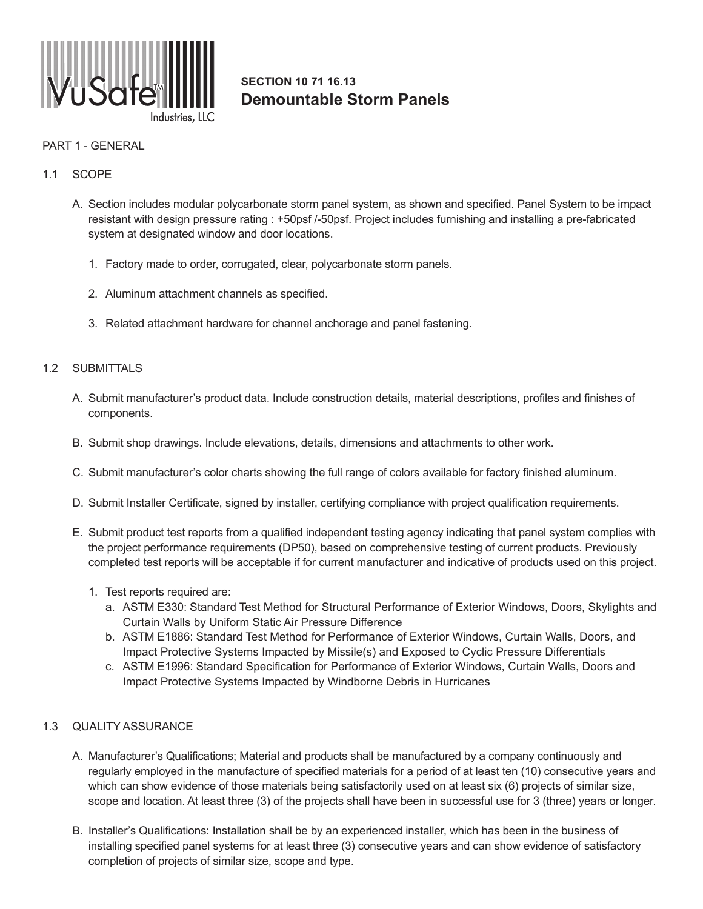

# **SECTION 10 71 16.13 Demountable Storm Panels**

# PART 1 - GENERAL

# 1.1 SCOPE

- A. Section includes modular polycarbonate storm panel system, as shown and specified. Panel System to be impact resistant with design pressure rating : +50psf /-50psf. Project includes furnishing and installing a pre-fabricated system at designated window and door locations.
	- 1. Factory made to order, corrugated, clear, polycarbonate storm panels.
	- 2. Aluminum attachment channels as specified.
	- 3. Related attachment hardware for channel anchorage and panel fastening.

### 1.2 SUBMITTALS

- A. Submit manufacturer's product data. Include construction details, material descriptions, profiles and finishes of components.
- B. Submit shop drawings. Include elevations, details, dimensions and attachments to other work.
- C. Submit manufacturer's color charts showing the full range of colors available for factory finished aluminum.
- D. Submit Installer Certificate, signed by installer, certifying compliance with project qualification requirements.
- E. Submit product test reports from a qualified independent testing agency indicating that panel system complies with the project performance requirements (DP50), based on comprehensive testing of current products. Previously completed test reports will be acceptable if for current manufacturer and indicative of products used on this project.
	- 1. Test reports required are:
		- a. ASTM E330: Standard Test Method for Structural Performance of Exterior Windows, Doors, Skylights and Curtain Walls by Uniform Static Air Pressure Difference
		- b. ASTM E1886: Standard Test Method for Performance of Exterior Windows, Curtain Walls, Doors, and Impact Protective Systems Impacted by Missile(s) and Exposed to Cyclic Pressure Differentials
		- c. ASTM E1996: Standard Specification for Performance of Exterior Windows, Curtain Walls, Doors and Impact Protective Systems Impacted by Windborne Debris in Hurricanes

# 1.3 QUALITY ASSURANCE

- A. Manufacturer's Qualifications; Material and products shall be manufactured by a company continuously and regularly employed in the manufacture of specified materials for a period of at least ten (10) consecutive years and which can show evidence of those materials being satisfactorily used on at least six (6) projects of similar size, scope and location. At least three (3) of the projects shall have been in successful use for 3 (three) years or longer.
- B. Installer's Qualifications: Installation shall be by an experienced installer, which has been in the business of installing specified panel systems for at least three (3) consecutive years and can show evidence of satisfactory completion of projects of similar size, scope and type.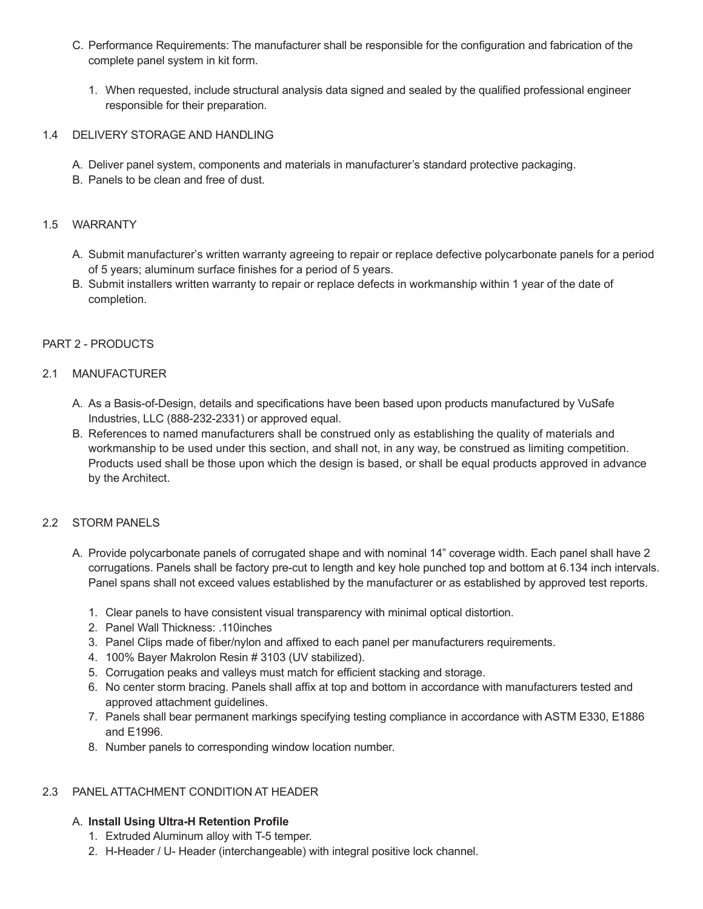- C. Performance Requirements: The manufacturer shall be responsible for the configuration and fabrication of the complete panel system in kit form.
	- 1. When requested, include structural analysis data signed and sealed by the qualified professional engineer responsible for their preparation.

### 1.4 DELIVERY STORAGE AND HANDLING

- A. Deliver panel system, components and materials in manufacturer's standard protective packaging.
- B. Panels to be clean and free of dust.

### 1.5 WARRANTY

- A. Submit manufacturer's written warranty agreeing to repair or replace defective polycarbonate panels for a period of 5 years; aluminum surface finishes for a period of 5 years.
- B. Submit installers written warranty to repair or replace defects in workmanship within 1 year of the date of completion.

### PART 2 - PRODUCTS

### 2.1 MANUFACTURER

- A. As a Basis-of-Design, details and specifications have been based upon products manufactured by VuSafe Industries, LLC (888-232-2331) or approved equal.
- B. References to named manufacturers shall be construed only as establishing the quality of materials and workmanship to be used under this section, and shall not, in any way, be construed as limiting competition. Products used shall be those upon which the design is based, or shall be equal products approved in advance by the Architect.

### 2.2 STORM PANELS

- A. Provide polycarbonate panels of corrugated shape and with nominal 14" coverage width. Each panel shall have 2 corrugations. Panels shall be factory pre-cut to length and key hole punched top and bottom at 6.134 inch intervals. Panel spans shall not exceed values established by the manufacturer or as established by approved test reports.
	- 1. Clear panels to have consistent visual transparency with minimal optical distortion.
	- 2. Panel Wall Thickness: .110inches
	- 3. Panel Clips made of fiber/nylon and affixed to each panel per manufacturers requirements.
	- 4. 100% Bayer Makrolon Resin # 3103 (UV stabilized).
	- 5. Corrugation peaks and valleys must match for efficient stacking and storage.
	- 6. No center storm bracing. Panels shall affix at top and bottom in accordance with manufacturers tested and approved attachment guidelines.
	- 7. Panels shall bear permanent markings specifying testing compliance in accordance with ASTM E330, E1886 and E1996.
	- 8. Number panels to corresponding window location number.

### 2.3 PANEL ATTACHMENT CONDITION AT HEADER

### A. **Install Using Ultra-H Retention Profile**

- 1. Extruded Aluminum alloy with T-5 temper.
- 2. H-Header / U- Header (interchangeable) with integral positive lock channel.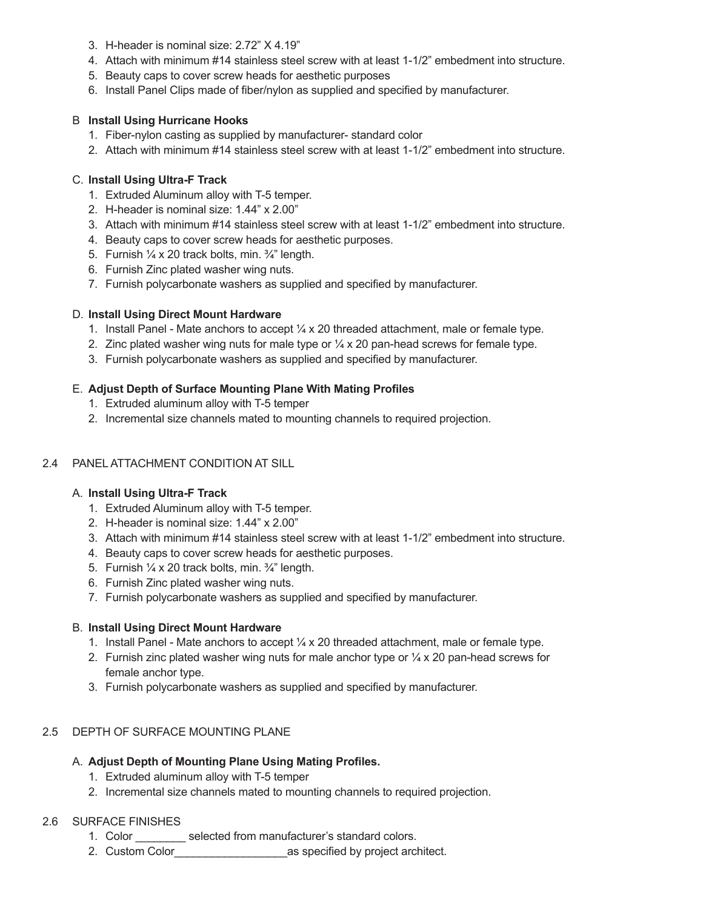- 3. H-header is nominal size: 2.72" X 4.19"
- 4. Attach with minimum #14 stainless steel screw with at least 1-1/2" embedment into structure.
- 5. Beauty caps to cover screw heads for aesthetic purposes
- 6. Install Panel Clips made of fiber/nylon as supplied and specified by manufacturer.

### B **Install Using Hurricane Hooks**

- 1. Fiber-nylon casting as supplied by manufacturer- standard color
- 2. Attach with minimum #14 stainless steel screw with at least 1-1/2" embedment into structure.

### C. **Install Using Ultra-F Track**

- 1. Extruded Aluminum alloy with T-5 temper.
- 2. H-header is nominal size: 1.44" x 2.00"
- 3. Attach with minimum #14 stainless steel screw with at least 1-1/2" embedment into structure.
- 4. Beauty caps to cover screw heads for aesthetic purposes.
- 5. Furnish  $\frac{1}{4}$  x 20 track bolts, min.  $\frac{3}{4}$ " length.
- 6. Furnish Zinc plated washer wing nuts.
- 7. Furnish polycarbonate washers as supplied and specified by manufacturer.

### D. **Install Using Direct Mount Hardware**

- 1. Install Panel Mate anchors to accept  $\frac{1}{4} \times 20$  threaded attachment, male or female type.
- 2. Zinc plated washer wing nuts for male type or  $\frac{1}{4} \times 20$  pan-head screws for female type.
- 3. Furnish polycarbonate washers as supplied and specified by manufacturer.

# E. **Adjust Depth of Surface Mounting Plane With Mating Profiles**

- 1. Extruded aluminum alloy with T-5 temper
- 2. Incremental size channels mated to mounting channels to required projection.

# 2.4 PANEL ATTACHMENT CONDITION AT SILL

# A. **Install Using Ultra-F Track**

- 1. Extruded Aluminum alloy with T-5 temper.
- 2. H-header is nominal size: 1.44" x 2.00"
- 3. Attach with minimum #14 stainless steel screw with at least 1-1/2" embedment into structure.
- 4. Beauty caps to cover screw heads for aesthetic purposes.
- 5. Furnish ¼ x 20 track bolts, min. ¾" length.
- 6. Furnish Zinc plated washer wing nuts.
- 7. Furnish polycarbonate washers as supplied and specified by manufacturer.

### B. **Install Using Direct Mount Hardware**

- 1. Install Panel Mate anchors to accept  $\frac{1}{4} \times 20$  threaded attachment, male or female type.
- 2. Furnish zinc plated washer wing nuts for male anchor type or  $\frac{1}{4} \times 20$  pan-head screws for female anchor type.
- 3. Furnish polycarbonate washers as supplied and specified by manufacturer.

# 2.5 DEPTH OF SURFACE MOUNTING PLANE

# A. **Adjust Depth of Mounting Plane Using Mating Profiles.**

- 1. Extruded aluminum alloy with T-5 temper
- 2. Incremental size channels mated to mounting channels to required projection.

### 2.6 SURFACE FINISHES

- 1. Color selected from manufacturer's standard colors.
- 2. Custom Color\_\_\_\_\_\_\_\_\_\_\_\_\_\_\_\_\_\_as specified by project architect.